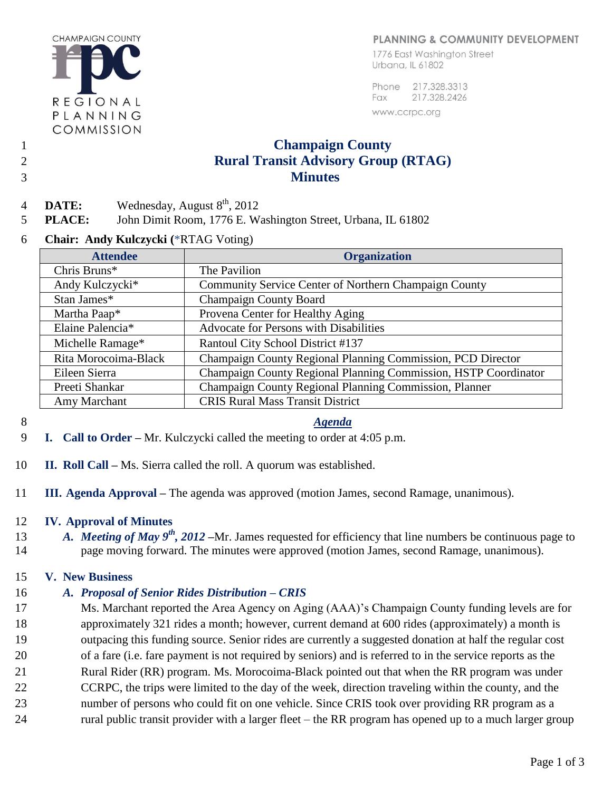

**CHAMPAIGN COUNTY** REGIONAL PLANNING COMMISSION

1776 East Washington Street Urbana, IL 61802

Phone 217.328.3313 Fax 217.328.2426 www.ccrpc.org

# 1 **Champaign County**  2 **Rural Transit Advisory Group (RTAG)**  3 **Minutes**

- 
- 
- 

### 4 **DATE:** Wednesday, August 8<sup>th</sup>, 2012

5 **PLACE:** John Dimit Room, 1776 E. Washington Street, Urbana, IL 61802

6 **Chair: Andy Kulczycki (**\*RTAG Voting)

| <b>Attendee</b>      | <b>Organization</b>                                             |
|----------------------|-----------------------------------------------------------------|
| Chris Bruns*         | The Pavilion                                                    |
| Andy Kulczycki*      | Community Service Center of Northern Champaign County           |
| Stan James*          | <b>Champaign County Board</b>                                   |
| Martha Paap*         | Provena Center for Healthy Aging                                |
| Elaine Palencia*     | <b>Advocate for Persons with Disabilities</b>                   |
| Michelle Ramage*     | Rantoul City School District #137                               |
| Rita Morocoima-Black | Champaign County Regional Planning Commission, PCD Director     |
| Eileen Sierra        | Champaign County Regional Planning Commission, HSTP Coordinator |
| Preeti Shankar       | Champaign County Regional Planning Commission, Planner          |
| Amy Marchant         | <b>CRIS Rural Mass Transit District</b>                         |

#### 8 *Agenda*

- 9 **I. Call to Order –** Mr. Kulczycki called the meeting to order at 4:05 p.m.
- 10 **II. Roll Call –** Ms. Sierra called the roll. A quorum was established.
- 11 **III. Agenda Approval –** The agenda was approved (motion James, second Ramage, unanimous).

#### 12 **IV. Approval of Minutes**

13 *A. Meeting of May 9<sup>th</sup>*, 2012 –Mr. James requested for efficiency that line numbers be continuous page to 14 page moving forward. The minutes were approved (motion James, second Ramage, unanimous).

#### 15 **V. New Business**

## 16 *A. Proposal of Senior Rides Distribution – CRIS*

 Ms. Marchant reported the Area Agency on Aging (AAA)'s Champaign County funding levels are for approximately 321 rides a month; however, current demand at 600 rides (approximately) a month is outpacing this funding source. Senior rides are currently a suggested donation at half the regular cost of a fare (i.e. fare payment is not required by seniors) and is referred to in the service reports as the Rural Rider (RR) program. Ms. Morocoima-Black pointed out that when the RR program was under CCRPC, the trips were limited to the day of the week, direction traveling within the county, and the number of persons who could fit on one vehicle. Since CRIS took over providing RR program as a rural public transit provider with a larger fleet – the RR program has opened up to a much larger group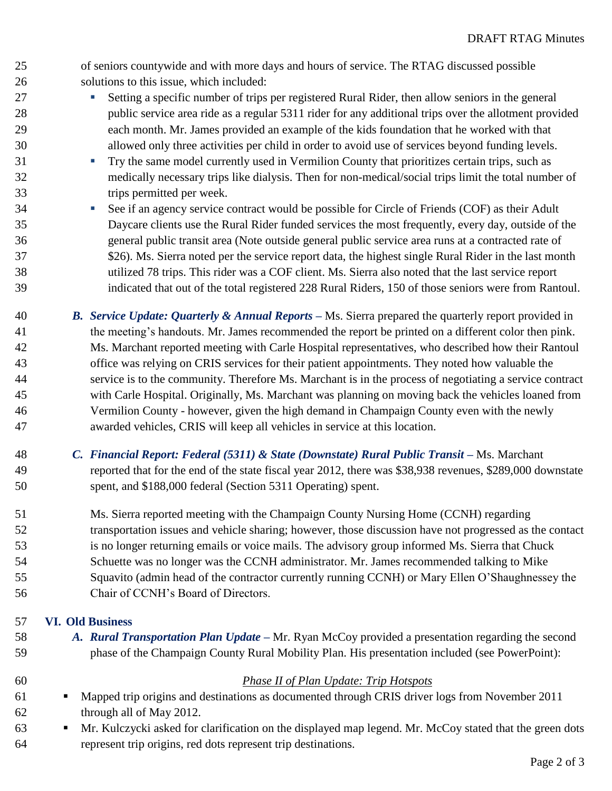of seniors countywide and with more days and hours of service. The RTAG discussed possible solutions to this issue, which included:

- 27 Setting a specific number of trips per registered Rural Rider, then allow seniors in the general public service area ride as a regular 5311 rider for any additional trips over the allotment provided each month. Mr. James provided an example of the kids foundation that he worked with that allowed only three activities per child in order to avoid use of services beyond funding levels.
- Try the same model currently used in Vermilion County that prioritizes certain trips, such as medically necessary trips like dialysis. Then for non-medical/social trips limit the total number of trips permitted per week.
- 34 See if an agency service contract would be possible for Circle of Friends (COF) as their Adult Daycare clients use the Rural Rider funded services the most frequently, every day, outside of the general public transit area (Note outside general public service area runs at a contracted rate of \$26). Ms. Sierra noted per the service report data, the highest single Rural Rider in the last month utilized 78 trips. This rider was a COF client. Ms. Sierra also noted that the last service report indicated that out of the total registered 228 Rural Riders, 150 of those seniors were from Rantoul.
- *B. Service Update: Quarterly & Annual Reports –* Ms. Sierra prepared the quarterly report provided in the meeting's handouts. Mr. James recommended the report be printed on a different color then pink. Ms. Marchant reported meeting with Carle Hospital representatives, who described how their Rantoul office was relying on CRIS services for their patient appointments. They noted how valuable the service is to the community. Therefore Ms. Marchant is in the process of negotiating a service contract with Carle Hospital. Originally, Ms. Marchant was planning on moving back the vehicles loaned from Vermilion County - however, given the high demand in Champaign County even with the newly awarded vehicles, CRIS will keep all vehicles in service at this location.
- *C. Financial Report: Federal (5311) & State (Downstate) Rural Public Transit –* Ms. Marchant reported that for the end of the state fiscal year 2012, there was \$38,938 revenues, \$289,000 downstate spent, and \$188,000 federal (Section 5311 Operating) spent.

 Ms. Sierra reported meeting with the Champaign County Nursing Home (CCNH) regarding transportation issues and vehicle sharing; however, those discussion have not progressed as the contact is no longer returning emails or voice mails. The advisory group informed Ms. Sierra that Chuck Schuette was no longer was the CCNH administrator. Mr. James recommended talking to Mike Squavito (admin head of the contractor currently running CCNH) or Mary Ellen O'Shaughnessey the Chair of CCNH's Board of Directors.

#### **VI. Old Business**

 *A. Rural Transportation Plan Update –* Mr. Ryan McCoy provided a presentation regarding the second phase of the Champaign County Rural Mobility Plan. His presentation included (see PowerPoint):

#### *Phase II of Plan Update: Trip Hotspots*

- 61 Mapped trip origins and destinations as documented through CRIS driver logs from November 2011 through all of May 2012.
- Mr. Kulczycki asked for clarification on the displayed map legend. Mr. McCoy stated that the green dots represent trip origins, red dots represent trip destinations.